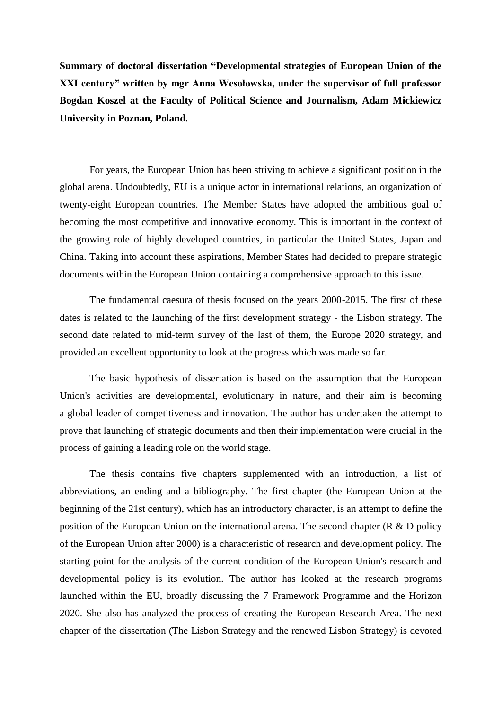**Summary of doctoral dissertation "Developmental strategies of European Union of the XXI century" written by mgr Anna Wesołowska, under the supervisor of full professor Bogdan Koszel at the Faculty of Political Science and Journalism, Adam Mickiewicz University in Poznan, Poland.**

For years, the European Union has been striving to achieve a significant position in the global arena. Undoubtedly, EU is a unique actor in international relations, an organization of twenty-eight European countries. The Member States have adopted the ambitious goal of becoming the most competitive and innovative economy. This is important in the context of the growing role of highly developed countries, in particular the United States, Japan and China. Taking into account these aspirations, Member States had decided to prepare strategic documents within the European Union containing a comprehensive approach to this issue.

The fundamental caesura of thesis focused on the years 2000-2015. The first of these dates is related to the launching of the first development strategy - the Lisbon strategy. The second date related to mid-term survey of the last of them, the Europe 2020 strategy, and provided an excellent opportunity to look at the progress which was made so far.

The basic hypothesis of dissertation is based on the assumption that the European Union's activities are developmental, evolutionary in nature, and their aim is becoming a global leader of competitiveness and innovation. The author has undertaken the attempt to prove that launching of strategic documents and then their implementation were crucial in the process of gaining a leading role on the world stage.

The thesis contains five chapters supplemented with an introduction, a list of abbreviations, an ending and a bibliography. The first chapter (the European Union at the beginning of the 21st century), which has an introductory character, is an attempt to define the position of the European Union on the international arena. The second chapter (R & D policy of the European Union after 2000) is a characteristic of research and development policy. The starting point for the analysis of the current condition of the European Union's research and developmental policy is its evolution. The author has looked at the research programs launched within the EU, broadly discussing the 7 Framework Programme and the Horizon 2020. She also has analyzed the process of creating the European Research Area. The next chapter of the dissertation (The Lisbon Strategy and the renewed Lisbon Strategy) is devoted